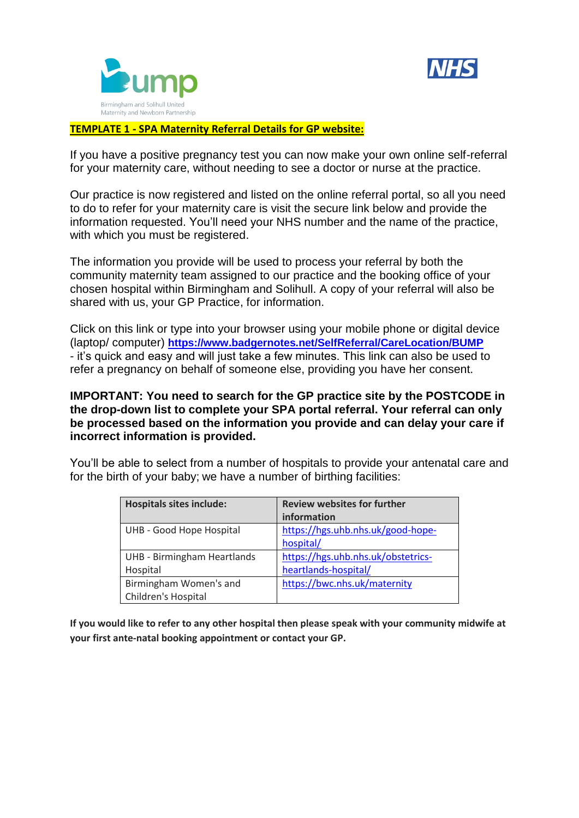



## **TEMPLATE 1 - SPA Maternity Referral Details for GP website:**

If you have a positive pregnancy test you can now make your own online self-referral for your maternity care, without needing to see a doctor or nurse at the practice.

Our practice is now registered and listed on the online referral portal, so all you need to do to refer for your maternity care is visit the secure link below and provide the information requested. You'll need your NHS number and the name of the practice, with which you must be registered.

The information you provide will be used to process your referral by both the community maternity team assigned to our practice and the booking office of your chosen hospital within Birmingham and Solihull. A copy of your referral will also be shared with us, your GP Practice, for information.

Click on this link or type into your browser using your mobile phone or digital device (laptop/ computer) **<https://www.badgernotes.net/SelfReferral/CareLocation/BUMP>** - it's quick and easy and will just take a few minutes. This link can also be used to refer a pregnancy on behalf of someone else, providing you have her consent.

## **IMPORTANT: You need to search for the GP practice site by the POSTCODE in the drop-down list to complete your SPA portal referral. Your referral can only be processed based on the information you provide and can delay your care if incorrect information is provided.**

You'll be able to select from a number of hospitals to provide your antenatal care and for the birth of your baby; we have a number of birthing facilities:

| <b>Hospitals sites include:</b>    | <b>Review websites for further</b> |
|------------------------------------|------------------------------------|
|                                    | information                        |
| UHB - Good Hope Hospital           | https://hgs.uhb.nhs.uk/good-hope-  |
|                                    | hospital/                          |
| <b>UHB - Birmingham Heartlands</b> | https://hgs.uhb.nhs.uk/obstetrics- |
| Hospital                           | heartlands-hospital/               |
| Birmingham Women's and             | https://bwc.nhs.uk/maternity       |
| Children's Hospital                |                                    |

**If you would like to refer to any other hospital then please speak with your community midwife at your first ante-natal booking appointment or contact your GP.**